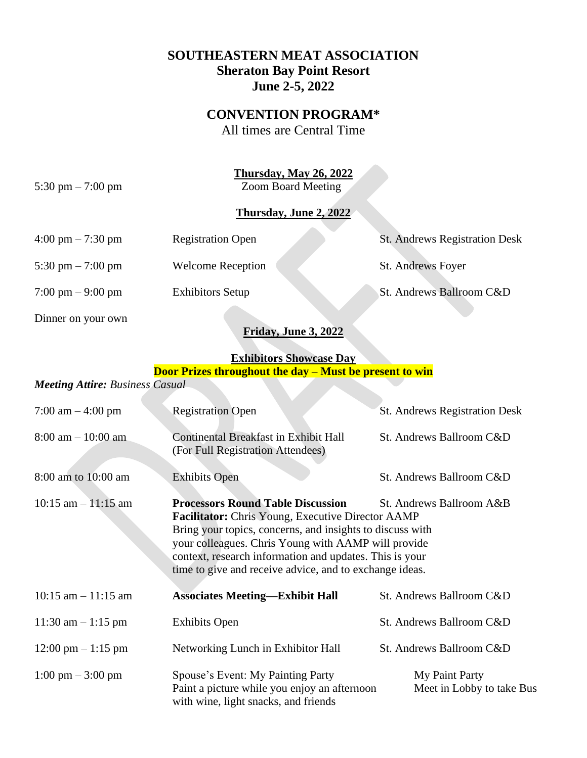## **SOUTHEASTERN MEAT ASSOCIATION Sheraton Bay Point Resort June 2-5, 2022**

## **CONVENTION PROGRAM\***

All times are Central Time

**Thursday, May 26, 2022**

5:30 pm – 7:00 pm Zoom Board Meeting

## **Thursday, June 2, 2022**

| $4:00 \text{ pm} - 7:30 \text{ pm}$ | <b>Registration Open</b> | <b>St. Andrews Registration Desk</b> |
|-------------------------------------|--------------------------|--------------------------------------|
| 5:30 pm $-7:00$ pm                  | <b>Welcome Reception</b> | St. Andrews Foyer                    |
| $7:00 \text{ pm} - 9:00 \text{ pm}$ | <b>Exhibitors Setup</b>  | St. Andrews Ballroom C&D             |
| Dinner on your own                  |                          |                                      |

## **Friday, June 3, 2022**

#### **Exhibitors Showcase Day Door Prizes throughout the day – Must be present to win**

#### *Meeting Attire: Business Casual*

| 7:00 am $-$ 4:00 pm                  | <b>Registration Open</b>                                                                                                                                                                                                                                                                                                                                                   | St. Andrews Registration Desk               |
|--------------------------------------|----------------------------------------------------------------------------------------------------------------------------------------------------------------------------------------------------------------------------------------------------------------------------------------------------------------------------------------------------------------------------|---------------------------------------------|
| $8:00$ am $-10:00$ am                | <b>Continental Breakfast in Exhibit Hall</b><br>(For Full Registration Attendees)                                                                                                                                                                                                                                                                                          | St. Andrews Ballroom C&D                    |
| 8:00 am to 10:00 am                  | <b>Exhibits Open</b>                                                                                                                                                                                                                                                                                                                                                       | St. Andrews Ballroom C&D                    |
| $10:15$ am $-11:15$ am               | <b>Processors Round Table Discussion</b><br>St. Andrews Ballroom A&B<br><b>Facilitator:</b> Chris Young, Executive Director AAMP<br>Bring your topics, concerns, and insights to discuss with<br>your colleagues. Chris Young with AAMP will provide<br>context, research information and updates. This is your<br>time to give and receive advice, and to exchange ideas. |                                             |
| $10:15$ am $-11:15$ am               | <b>Associates Meeting—Exhibit Hall</b>                                                                                                                                                                                                                                                                                                                                     | St. Andrews Ballroom C&D                    |
| 11:30 am $-1:15$ pm                  | <b>Exhibits Open</b>                                                                                                                                                                                                                                                                                                                                                       | St. Andrews Ballroom C&D                    |
| $12:00 \text{ pm} - 1:15 \text{ pm}$ | Networking Lunch in Exhibitor Hall                                                                                                                                                                                                                                                                                                                                         | St. Andrews Ballroom C&D                    |
| $1:00 \text{ pm} - 3:00 \text{ pm}$  | Spouse's Event: My Painting Party<br>Paint a picture while you enjoy an afternoon<br>with wine, light snacks, and friends                                                                                                                                                                                                                                                  | My Paint Party<br>Meet in Lobby to take Bus |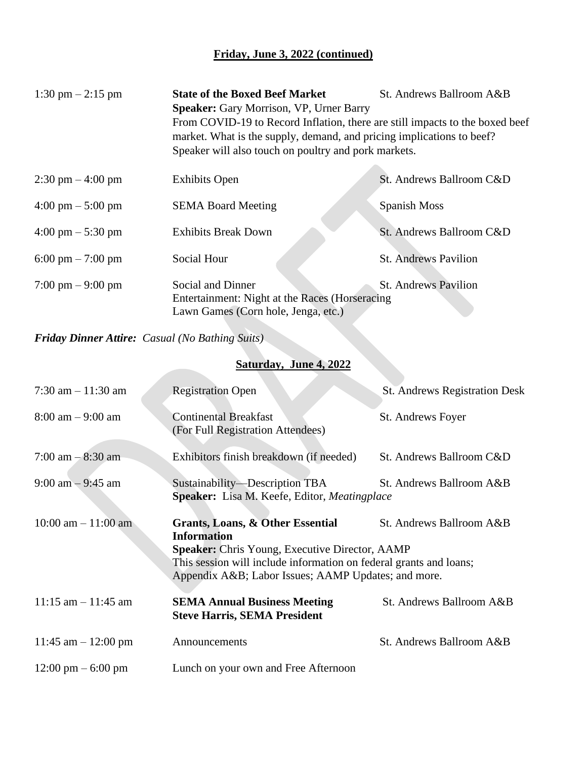# **Friday, June 3, 2022 (continued)**

| 1:30 pm $-2:15$ pm                  | <b>State of the Boxed Beef Market</b><br>St. Andrews Ballroom A&B<br><b>Speaker:</b> Gary Morrison, VP, Urner Barry<br>From COVID-19 to Record Inflation, there are still impacts to the boxed beef<br>market. What is the supply, demand, and pricing implications to beef?<br>Speaker will also touch on poultry and pork markets. |                             |
|-------------------------------------|--------------------------------------------------------------------------------------------------------------------------------------------------------------------------------------------------------------------------------------------------------------------------------------------------------------------------------------|-----------------------------|
| $2:30 \text{ pm} - 4:00 \text{ pm}$ | <b>Exhibits Open</b>                                                                                                                                                                                                                                                                                                                 | St. Andrews Ballroom C&D    |
| $4:00 \text{ pm} - 5:00 \text{ pm}$ | <b>SEMA Board Meeting</b>                                                                                                                                                                                                                                                                                                            | Spanish Moss                |
| $4:00 \text{ pm} - 5:30 \text{ pm}$ | <b>Exhibits Break Down</b>                                                                                                                                                                                                                                                                                                           | St. Andrews Ballroom C&D    |
| 6:00 pm $-7:00$ pm                  | Social Hour                                                                                                                                                                                                                                                                                                                          | <b>St. Andrews Pavilion</b> |
| $7:00 \text{ pm} - 9:00 \text{ pm}$ | Social and Dinner<br>Entertainment: Night at the Races (Horseracing<br>Lawn Games (Corn hole, Jenga, etc.)                                                                                                                                                                                                                           | <b>St. Andrews Pavilion</b> |

*Friday Dinner Attire: Casual (No Bathing Suits)*

# **Saturday, June 4, 2022**

| 7:30 am $-11:30$ am                  | <b>Registration Open</b>                                                                                                   | <b>St. Andrews Registration Desk</b> |
|--------------------------------------|----------------------------------------------------------------------------------------------------------------------------|--------------------------------------|
| $8:00 \text{ am} - 9:00 \text{ am}$  | <b>Continental Breakfast</b><br>(For Full Registration Attendees)                                                          | St. Andrews Foyer                    |
| 7:00 am $-$ 8:30 am                  | Exhibitors finish breakdown (if needed)                                                                                    | St. Andrews Ballroom C&D             |
| $9:00$ am $-9:45$ am                 | Sustainability—Description TBA<br><b>Speaker:</b> Lisa M. Keefe, Editor, <i>Meatingplace</i>                               | St. Andrews Ballroom A&B             |
| $10:00$ am $-11:00$ am               | <b>Grants, Loans, &amp; Other Essential</b><br><b>Information</b><br><b>Speaker:</b> Chris Young, Executive Director, AAMP | St. Andrews Ballroom A&B             |
|                                      | This session will include information on federal grants and loans;<br>Appendix A&B Labor Issues; AAMP Updates; and more.   |                                      |
| $11:15$ am $-11:45$ am               | <b>SEMA Annual Business Meeting</b><br><b>Steve Harris, SEMA President</b>                                                 | St. Andrews Ballroom A&B             |
| 11:45 am $-$ 12:00 pm                | Announcements                                                                                                              | St. Andrews Ballroom A&B             |
| $12:00 \text{ pm} - 6:00 \text{ pm}$ | Lunch on your own and Free Afternoon                                                                                       |                                      |